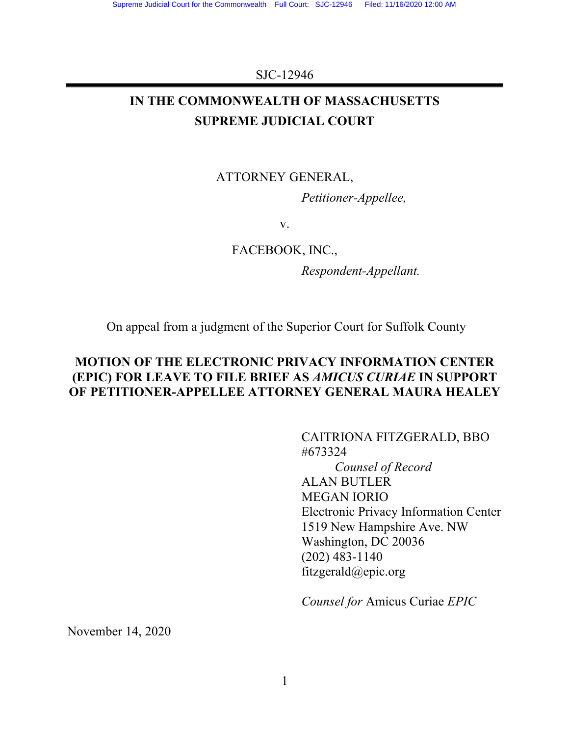#### SJC-12946

# **IN THE COMMONWEALTH OF MASSACHUSETTS SUPREME JUDICIAL COURT**

# ATTORNEY GENERAL,

*Petitioner-Appellee,*

v.

FACEBOOK, INC.,

*Respondent-Appellant.*

On appeal from a judgment of the Superior Court for Suffolk County

# **MOTION OF THE ELECTRONIC PRIVACY INFORMATION CENTER (EPIC) FOR LEAVE TO FILE BRIEF AS** *AMICUS CURIAE* **IN SUPPORT OF PETITIONER-APPELLEE ATTORNEY GENERAL MAURA HEALEY**

CAITRIONA FITZGERALD, BBO #673324 *Counsel of Record* ALAN BUTLER MEGAN IORIO Electronic Privacy Information Center 1519 New Hampshire Ave. NW Washington, DC 20036 (202) 483-1140 fitzgerald@epic.org

*Counsel for* Amicus Curiae *EPIC*

November 14, 2020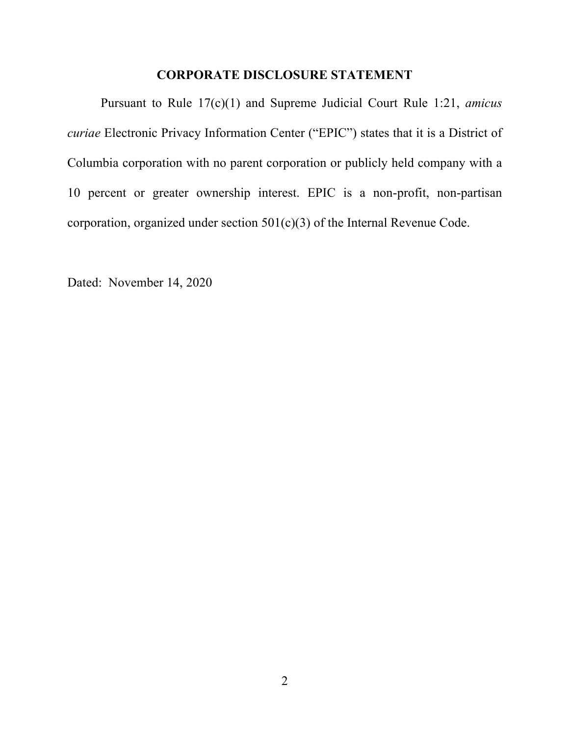## **CORPORATE DISCLOSURE STATEMENT**

Pursuant to Rule 17(c)(1) and Supreme Judicial Court Rule 1:21, *amicus curiae* Electronic Privacy Information Center ("EPIC") states that it is a District of Columbia corporation with no parent corporation or publicly held company with a 10 percent or greater ownership interest. EPIC is a non-profit, non-partisan corporation, organized under section 501(c)(3) of the Internal Revenue Code.

Dated: November 14, 2020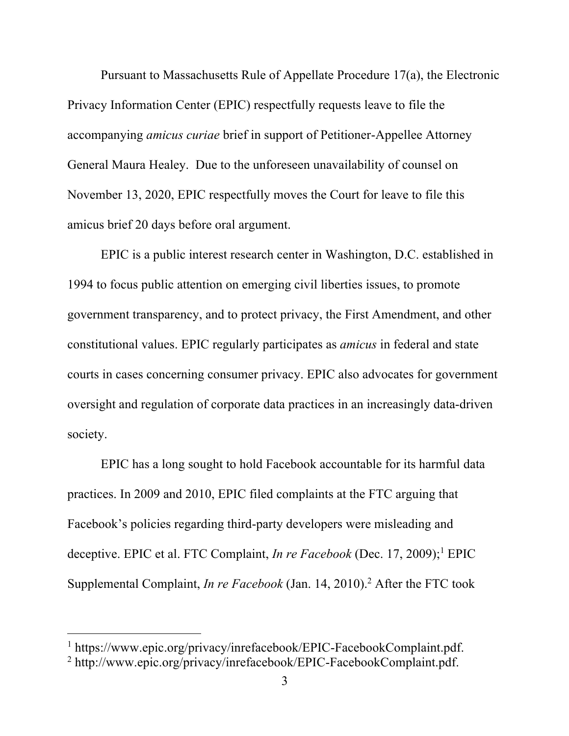Pursuant to Massachusetts Rule of Appellate Procedure 17(a), the Electronic Privacy Information Center (EPIC) respectfully requests leave to file the accompanying *amicus curiae* brief in support of Petitioner-Appellee Attorney General Maura Healey. Due to the unforeseen unavailability of counsel on November 13, 2020, EPIC respectfully moves the Court for leave to file this amicus brief 20 days before oral argument.

EPIC is a public interest research center in Washington, D.C. established in 1994 to focus public attention on emerging civil liberties issues, to promote government transparency, and to protect privacy, the First Amendment, and other constitutional values. EPIC regularly participates as *amicus* in federal and state courts in cases concerning consumer privacy. EPIC also advocates for government oversight and regulation of corporate data practices in an increasingly data-driven society.

EPIC has a long sought to hold Facebook accountable for its harmful data practices. In 2009 and 2010, EPIC filed complaints at the FTC arguing that Facebook's policies regarding third-party developers were misleading and deceptive. EPIC et al. FTC Complaint, *In re Facebook* (Dec. 17, 2009); <sup>1</sup> EPIC Supplemental Complaint, *In re Facebook* (Jan. 14, 2010).<sup>2</sup> After the FTC took

<sup>&</sup>lt;sup>1</sup> https://www.epic.org/privacy/inrefacebook/EPIC-FacebookComplaint.pdf.<br><sup>2</sup> http://www.epic.org/privacy/inrefacebook/EPIC-FacebookComplaint.pdf.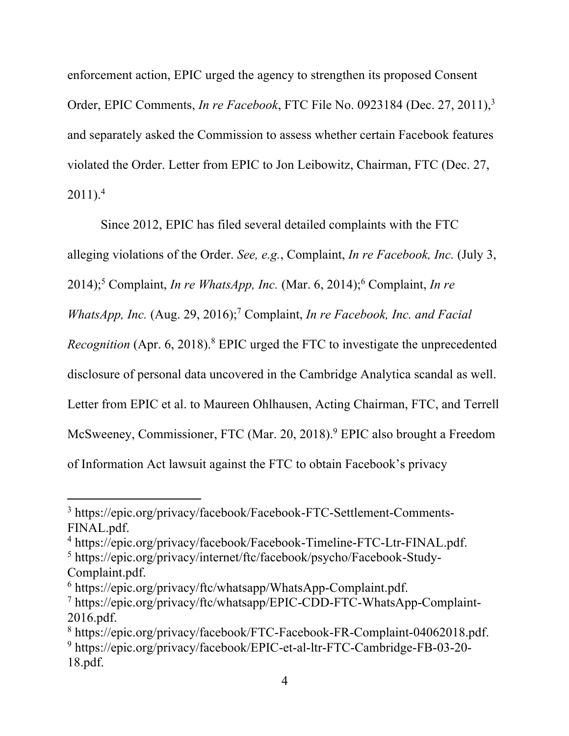enforcement action, EPIC urged the agency to strengthen its proposed Consent Order, EPIC Comments, *In re Facebook*, FTC File No. 0923184 (Dec. 27, 2011), 3 and separately asked the Commission to assess whether certain Facebook features violated the Order. Letter from EPIC to Jon Leibowitz, Chairman, FTC (Dec. 27,  $2011$ ).<sup>4</sup>

Since 2012, EPIC has filed several detailed complaints with the FTC alleging violations of the Order. *See, e.g.*, Complaint, *In re Facebook, Inc.* (July 3, 2014);<sup>5</sup> Complaint, *In re WhatsApp, Inc.* (Mar. 6, 2014);<sup>6</sup> Complaint, *In re WhatsApp, Inc.* (Aug. 29, 2016);<sup>7</sup> Complaint, *In re Facebook, Inc. and Facial Recognition* (Apr. 6, 2018). <sup>8</sup> EPIC urged the FTC to investigate the unprecedented disclosure of personal data uncovered in the Cambridge Analytica scandal as well. Letter from EPIC et al. to Maureen Ohlhausen, Acting Chairman, FTC, and Terrell McSweeney, Commissioner, FTC (Mar. 20, 2018).<sup>9</sup> EPIC also brought a Freedom of Information Act lawsuit against the FTC to obtain Facebook's privacy

<sup>3</sup> https://epic.org/privacy/facebook/Facebook-FTC-Settlement-Comments-FINAL.pdf.

<sup>&</sup>lt;sup>4</sup> https://epic.org/privacy/facebook/Facebook-Timeline-FTC-Ltr-FINAL.pdf.<br><sup>5</sup> https://epic.org/privacy/internet/ftc/facebook/psycho/Facebook-Study-

Complaint.pdf.

 $6$  https://epic.org/privacy/ftc/whatsapp/WhatsApp-Complaint.pdf.

<sup>7</sup> https://epic.org/privacy/ftc/whatsapp/EPIC-CDD-FTC-WhatsApp-Complaint-2016.pdf.

<sup>8</sup> https://epic.org/privacy/facebook/FTC-Facebook-FR-Complaint-04062018.pdf. <sup>9</sup> https://epic.org/privacy/facebook/EPIC-et-al-ltr-FTC-Cambridge-FB-03-20- 18.pdf.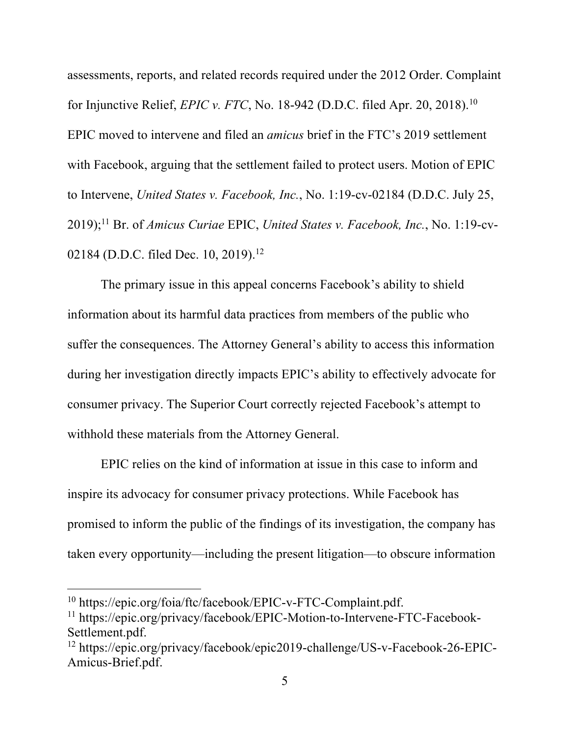assessments, reports, and related records required under the 2012 Order. Complaint for Injunctive Relief, *EPIC v. FTC*, No. 18-942 (D.D.C. filed Apr. 20, 2018).10 EPIC moved to intervene and filed an *amicus* brief in the FTC's 2019 settlement with Facebook, arguing that the settlement failed to protect users. Motion of EPIC to Intervene, *United States v. Facebook, Inc.*, No. 1:19-cv-02184 (D.D.C. July 25, 2019);11 Br. of *Amicus Curiae* EPIC, *United States v. Facebook, Inc.*, No. 1:19-cv-02184 (D.D.C. filed Dec. 10, 2019).<sup>12</sup>

The primary issue in this appeal concerns Facebook's ability to shield information about its harmful data practices from members of the public who suffer the consequences. The Attorney General's ability to access this information during her investigation directly impacts EPIC's ability to effectively advocate for consumer privacy. The Superior Court correctly rejected Facebook's attempt to withhold these materials from the Attorney General.

EPIC relies on the kind of information at issue in this case to inform and inspire its advocacy for consumer privacy protections. While Facebook has promised to inform the public of the findings of its investigation, the company has taken every opportunity—including the present litigation—to obscure information

<sup>10</sup> https://epic.org/foia/ftc/facebook/EPIC-v-FTC-Complaint.pdf.

<sup>11</sup> https://epic.org/privacy/facebook/EPIC-Motion-to-Intervene-FTC-Facebook-Settlement.pdf.

<sup>12</sup> https://epic.org/privacy/facebook/epic2019-challenge/US-v-Facebook-26-EPIC-Amicus-Brief.pdf.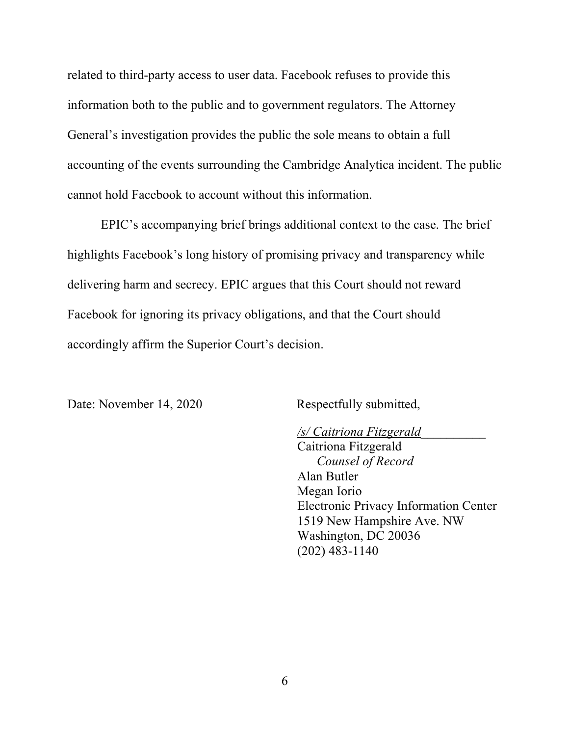related to third-party access to user data. Facebook refuses to provide this information both to the public and to government regulators. The Attorney General's investigation provides the public the sole means to obtain a full accounting of the events surrounding the Cambridge Analytica incident. The public cannot hold Facebook to account without this information.

EPIC's accompanying brief brings additional context to the case. The brief highlights Facebook's long history of promising privacy and transparency while delivering harm and secrecy. EPIC argues that this Court should not reward Facebook for ignoring its privacy obligations, and that the Court should accordingly affirm the Superior Court's decision.

Date: November 14, 2020 Respectfully submitted,

*/s/ Caitriona Fitzgerald*\_\_\_\_\_\_\_\_\_\_ Caitriona Fitzgerald *Counsel of Record* Alan Butler Megan Iorio Electronic Privacy Information Center 1519 New Hampshire Ave. NW Washington, DC 20036 (202) 483-1140